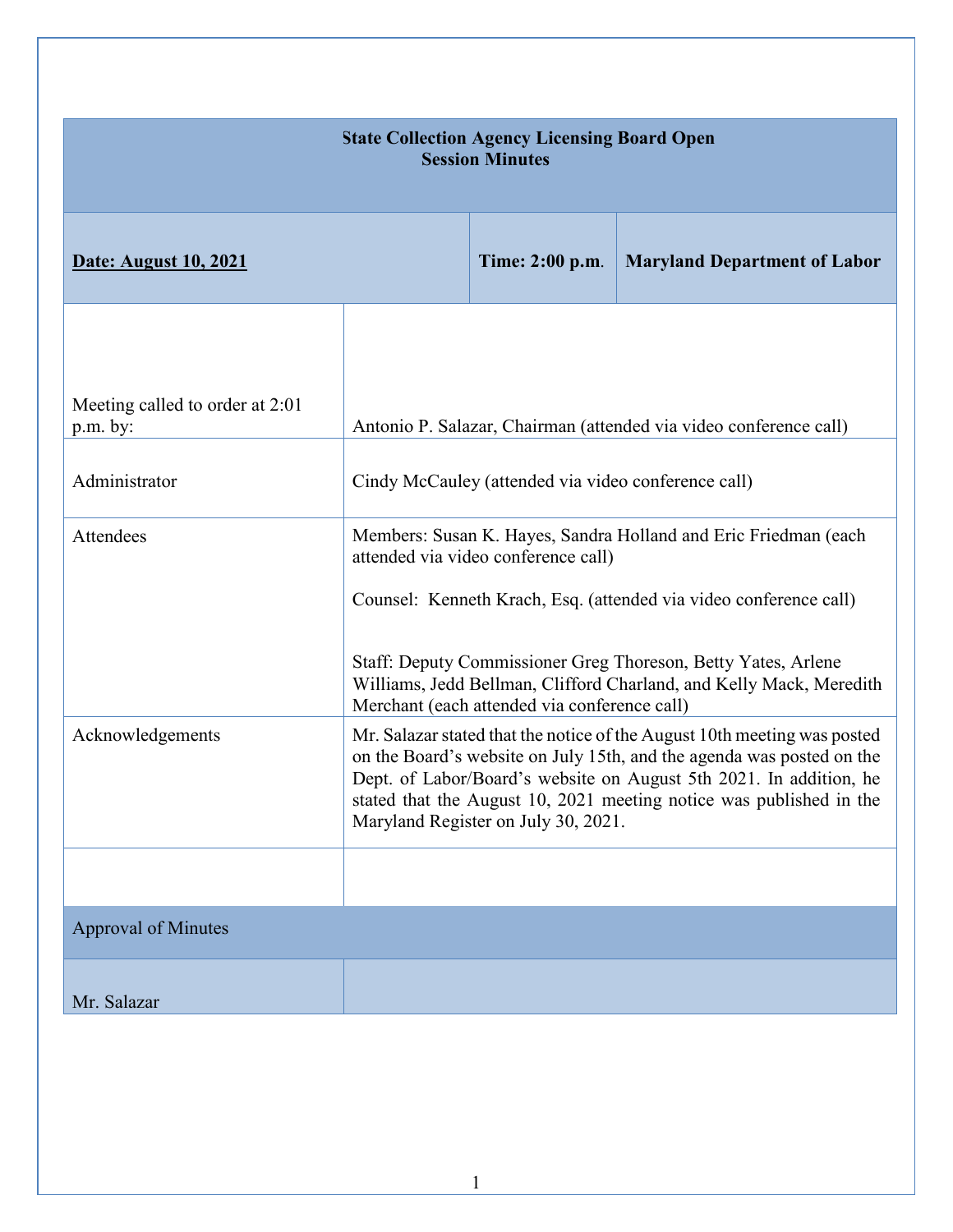| <b>State Collection Agency Licensing Board Open</b><br><b>Session Minutes</b> |                                                                                                                                                                                                                                                                                                                                       |                                                                                     |                                                                                                                                                                                                                                                                              |  |
|-------------------------------------------------------------------------------|---------------------------------------------------------------------------------------------------------------------------------------------------------------------------------------------------------------------------------------------------------------------------------------------------------------------------------------|-------------------------------------------------------------------------------------|------------------------------------------------------------------------------------------------------------------------------------------------------------------------------------------------------------------------------------------------------------------------------|--|
| <b>Date: August 10, 2021</b>                                                  |                                                                                                                                                                                                                                                                                                                                       | Time: 2:00 p.m.                                                                     | <b>Maryland Department of Labor</b>                                                                                                                                                                                                                                          |  |
| Meeting called to order at 2:01                                               |                                                                                                                                                                                                                                                                                                                                       |                                                                                     |                                                                                                                                                                                                                                                                              |  |
| $p.m.$ by:                                                                    |                                                                                                                                                                                                                                                                                                                                       |                                                                                     | Antonio P. Salazar, Chairman (attended via video conference call)                                                                                                                                                                                                            |  |
| Administrator                                                                 |                                                                                                                                                                                                                                                                                                                                       | Cindy McCauley (attended via video conference call)                                 |                                                                                                                                                                                                                                                                              |  |
| Attendees                                                                     |                                                                                                                                                                                                                                                                                                                                       | attended via video conference call)<br>Merchant (each attended via conference call) | Members: Susan K. Hayes, Sandra Holland and Eric Friedman (each<br>Counsel: Kenneth Krach, Esq. (attended via video conference call)<br>Staff: Deputy Commissioner Greg Thoreson, Betty Yates, Arlene<br>Williams, Jedd Bellman, Clifford Charland, and Kelly Mack, Meredith |  |
| Acknowledgements                                                              | Mr. Salazar stated that the notice of the August 10th meeting was posted<br>on the Board's website on July 15th, and the agenda was posted on the<br>Dept. of Labor/Board's website on August 5th 2021. In addition, he<br>stated that the August 10, 2021 meeting notice was published in the<br>Maryland Register on July 30, 2021. |                                                                                     |                                                                                                                                                                                                                                                                              |  |
| <b>Approval of Minutes</b>                                                    |                                                                                                                                                                                                                                                                                                                                       |                                                                                     |                                                                                                                                                                                                                                                                              |  |
| Mr. Salazar                                                                   |                                                                                                                                                                                                                                                                                                                                       |                                                                                     |                                                                                                                                                                                                                                                                              |  |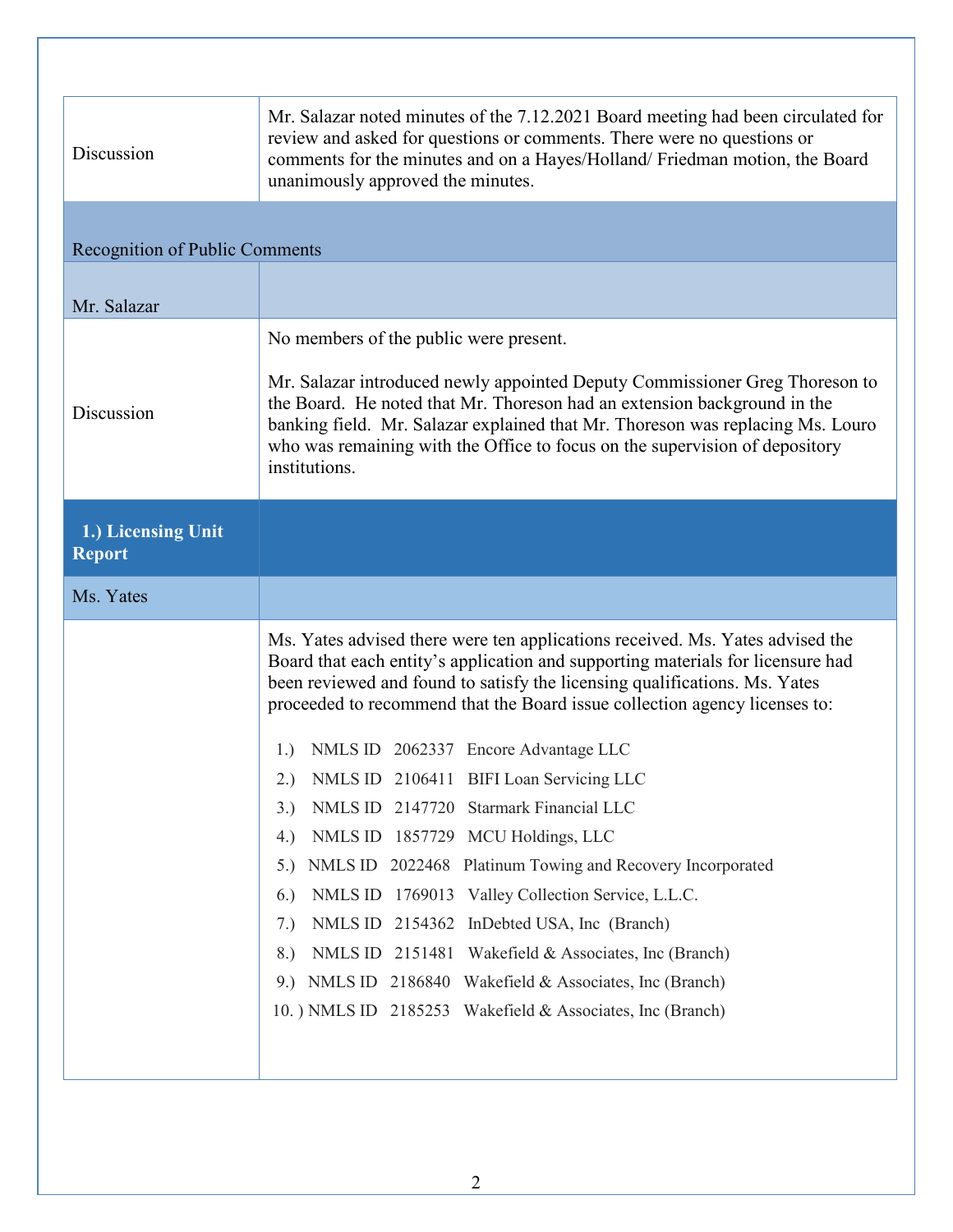| Discussion                            | Mr. Salazar noted minutes of the 7.12.2021 Board meeting had been circulated for<br>review and asked for questions or comments. There were no questions or<br>comments for the minutes and on a Hayes/Holland/ Friedman motion, the Board<br>unanimously approved the minutes.                                                                                                      |  |  |  |
|---------------------------------------|-------------------------------------------------------------------------------------------------------------------------------------------------------------------------------------------------------------------------------------------------------------------------------------------------------------------------------------------------------------------------------------|--|--|--|
| <b>Recognition of Public Comments</b> |                                                                                                                                                                                                                                                                                                                                                                                     |  |  |  |
| Mr. Salazar                           |                                                                                                                                                                                                                                                                                                                                                                                     |  |  |  |
| Discussion                            | No members of the public were present.<br>Mr. Salazar introduced newly appointed Deputy Commissioner Greg Thoreson to<br>the Board. He noted that Mr. Thoreson had an extension background in the<br>banking field. Mr. Salazar explained that Mr. Thoreson was replacing Ms. Louro<br>who was remaining with the Office to focus on the supervision of depository<br>institutions. |  |  |  |
| 1.) Licensing Unit<br><b>Report</b>   |                                                                                                                                                                                                                                                                                                                                                                                     |  |  |  |
| Ms. Yates                             |                                                                                                                                                                                                                                                                                                                                                                                     |  |  |  |
|                                       | Ms. Yates advised there were ten applications received. Ms. Yates advised the<br>Board that each entity's application and supporting materials for licensure had<br>been reviewed and found to satisfy the licensing qualifications. Ms. Yates<br>proceeded to recommend that the Board issue collection agency licenses to:                                                        |  |  |  |
|                                       | NMLS ID 2062337 Encore Advantage LLC<br>1.)                                                                                                                                                                                                                                                                                                                                         |  |  |  |
|                                       | NMLS ID 2106411 BIFI Loan Servicing LLC                                                                                                                                                                                                                                                                                                                                             |  |  |  |
|                                       | NMLS ID 2147720 Starmark Financial LLC<br>3.)                                                                                                                                                                                                                                                                                                                                       |  |  |  |
|                                       | NMLS ID 1857729 MCU Holdings, LLC<br>4.)                                                                                                                                                                                                                                                                                                                                            |  |  |  |
|                                       | NMLS ID 2022468 Platinum Towing and Recovery Incorporated<br>5.                                                                                                                                                                                                                                                                                                                     |  |  |  |
|                                       | NMLS ID 1769013 Valley Collection Service, L.L.C.<br>(6.)                                                                                                                                                                                                                                                                                                                           |  |  |  |
|                                       | NMLS ID 2154362 InDebted USA, Inc (Branch)<br>7.)<br>NMLS ID 2151481 Wakefield & Associates, Inc (Branch)<br>8.)                                                                                                                                                                                                                                                                    |  |  |  |
|                                       | NMLS ID 2186840 Wakefield & Associates, Inc (Branch)<br>9.                                                                                                                                                                                                                                                                                                                          |  |  |  |
|                                       | 10. ) NMLS ID 2185253 Wakefield & Associates, Inc (Branch)                                                                                                                                                                                                                                                                                                                          |  |  |  |
|                                       |                                                                                                                                                                                                                                                                                                                                                                                     |  |  |  |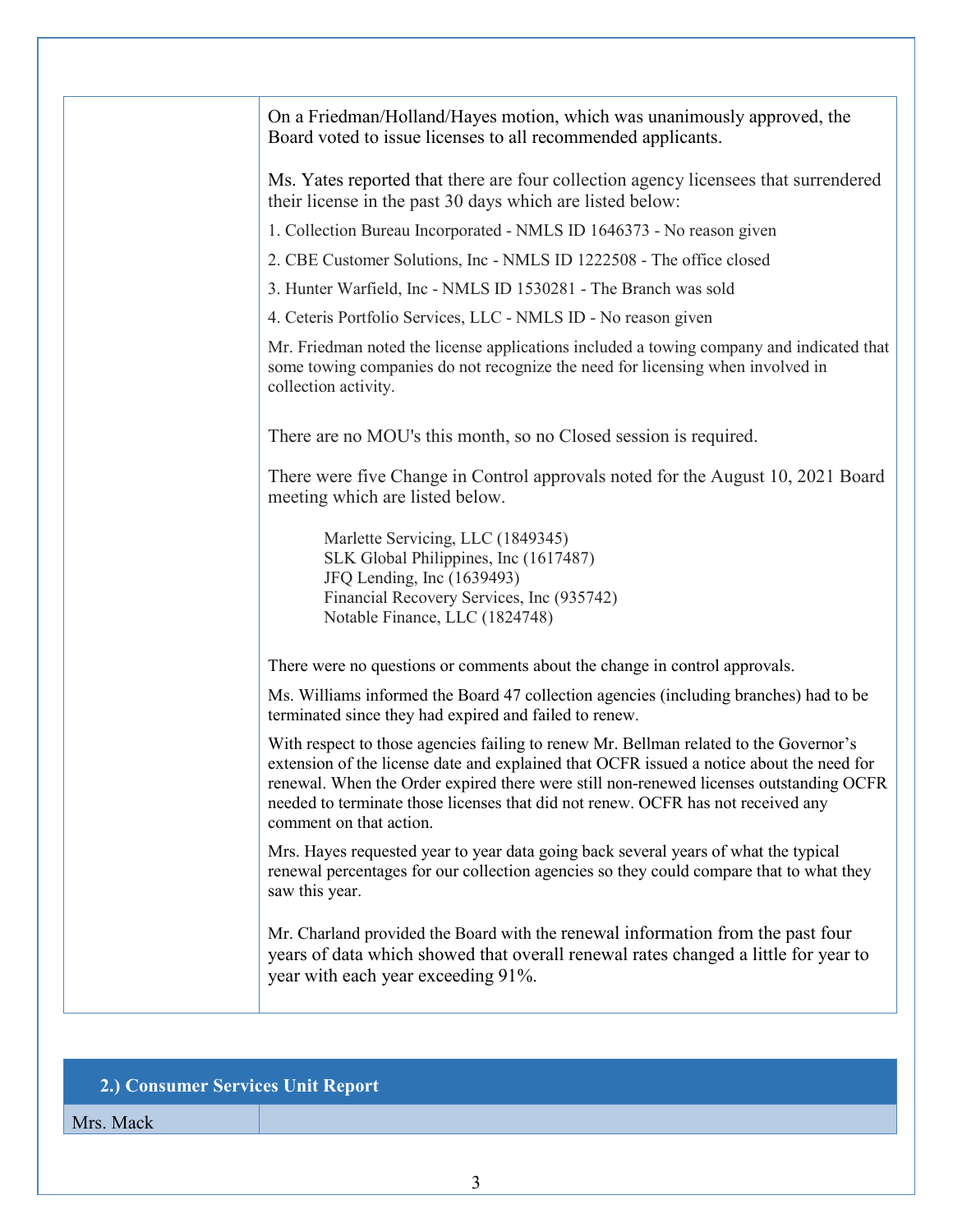| On a Friedman/Holland/Hayes motion, which was unanimously approved, the<br>Board voted to issue licenses to all recommended applicants.                                                                                                                                                                                                                                                    |
|--------------------------------------------------------------------------------------------------------------------------------------------------------------------------------------------------------------------------------------------------------------------------------------------------------------------------------------------------------------------------------------------|
| Ms. Yates reported that there are four collection agency licensees that surrendered<br>their license in the past 30 days which are listed below:                                                                                                                                                                                                                                           |
| 1. Collection Bureau Incorporated - NMLS ID 1646373 - No reason given                                                                                                                                                                                                                                                                                                                      |
| 2. CBE Customer Solutions, Inc - NMLS ID 1222508 - The office closed                                                                                                                                                                                                                                                                                                                       |
| 3. Hunter Warfield, Inc - NMLS ID 1530281 - The Branch was sold                                                                                                                                                                                                                                                                                                                            |
| 4. Ceteris Portfolio Services, LLC - NMLS ID - No reason given                                                                                                                                                                                                                                                                                                                             |
| Mr. Friedman noted the license applications included a towing company and indicated that<br>some towing companies do not recognize the need for licensing when involved in<br>collection activity.                                                                                                                                                                                         |
| There are no MOU's this month, so no Closed session is required.                                                                                                                                                                                                                                                                                                                           |
| There were five Change in Control approvals noted for the August 10, 2021 Board<br>meeting which are listed below.                                                                                                                                                                                                                                                                         |
| Marlette Servicing, LLC (1849345)<br>SLK Global Philippines, Inc (1617487)<br>JFQ Lending, Inc (1639493)<br>Financial Recovery Services, Inc (935742)<br>Notable Finance, LLC (1824748)                                                                                                                                                                                                    |
| There were no questions or comments about the change in control approvals.                                                                                                                                                                                                                                                                                                                 |
| Ms. Williams informed the Board 47 collection agencies (including branches) had to be<br>terminated since they had expired and failed to renew.                                                                                                                                                                                                                                            |
| With respect to those agencies failing to renew Mr. Bellman related to the Governor's<br>extension of the license date and explained that OCFR issued a notice about the need for<br>renewal. When the Order expired there were still non-renewed licenses outstanding OCFR<br>needed to terminate those licenses that did not renew. OCFR has not received any<br>comment on that action. |
| Mrs. Hayes requested year to year data going back several years of what the typical<br>renewal percentages for our collection agencies so they could compare that to what they<br>saw this year.                                                                                                                                                                                           |
| Mr. Charland provided the Board with the renewal information from the past four<br>years of data which showed that overall renewal rates changed a little for year to<br>year with each year exceeding 91%.                                                                                                                                                                                |

## **2.) Consumer Services Unit Report**

Mrs. Mack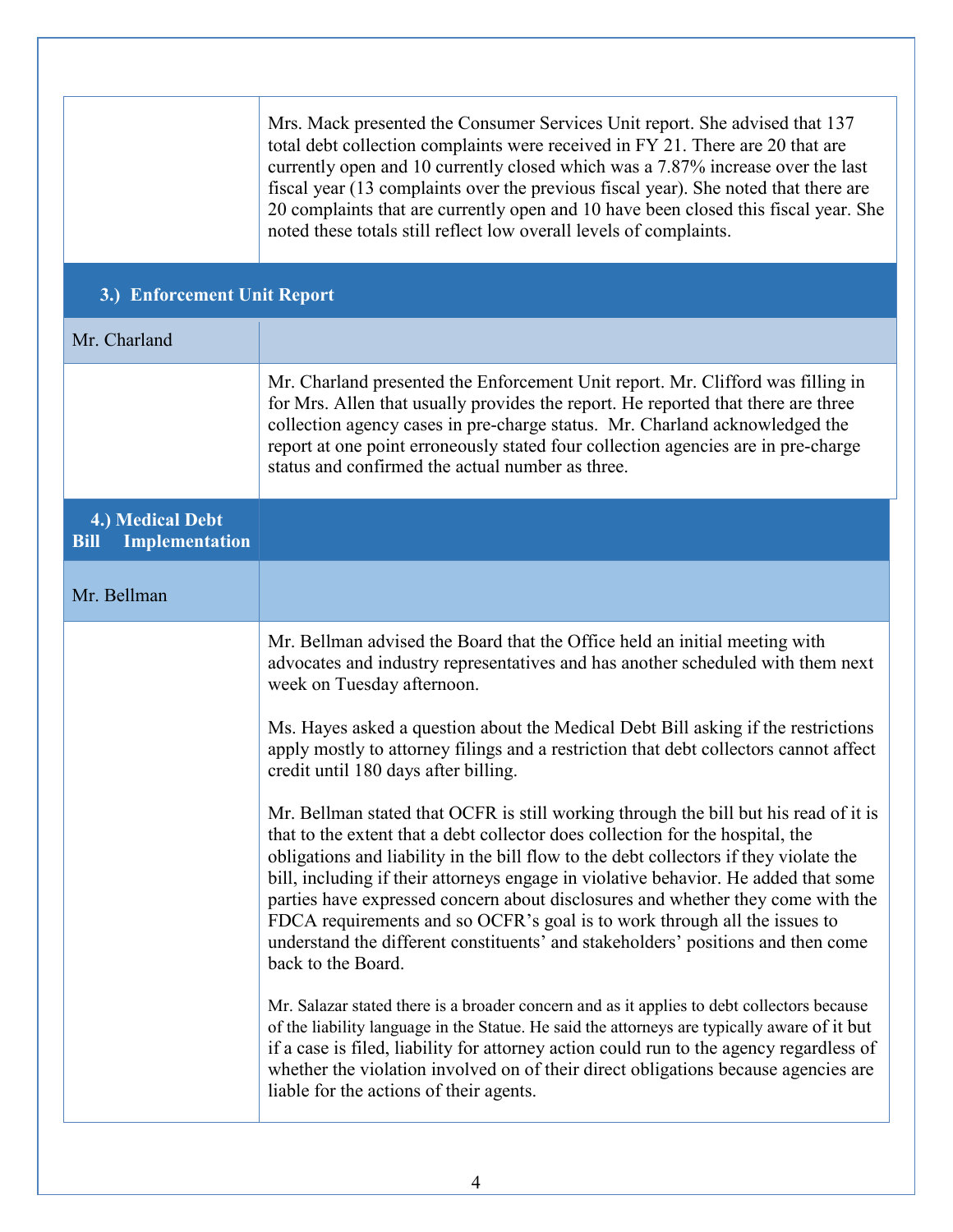|                                                          | Mrs. Mack presented the Consumer Services Unit report. She advised that 137<br>total debt collection complaints were received in FY 21. There are 20 that are<br>currently open and 10 currently closed which was a 7.87% increase over the last<br>fiscal year (13 complaints over the previous fiscal year). She noted that there are<br>20 complaints that are currently open and 10 have been closed this fiscal year. She<br>noted these totals still reflect low overall levels of complaints.                                                                                                                             |  |  |  |  |
|----------------------------------------------------------|----------------------------------------------------------------------------------------------------------------------------------------------------------------------------------------------------------------------------------------------------------------------------------------------------------------------------------------------------------------------------------------------------------------------------------------------------------------------------------------------------------------------------------------------------------------------------------------------------------------------------------|--|--|--|--|
|                                                          | 3.) Enforcement Unit Report                                                                                                                                                                                                                                                                                                                                                                                                                                                                                                                                                                                                      |  |  |  |  |
| Mr. Charland                                             |                                                                                                                                                                                                                                                                                                                                                                                                                                                                                                                                                                                                                                  |  |  |  |  |
|                                                          | Mr. Charland presented the Enforcement Unit report. Mr. Clifford was filling in<br>for Mrs. Allen that usually provides the report. He reported that there are three<br>collection agency cases in pre-charge status. Mr. Charland acknowledged the<br>report at one point erroneously stated four collection agencies are in pre-charge<br>status and confirmed the actual number as three.                                                                                                                                                                                                                                     |  |  |  |  |
| 4.) Medical Debt<br><b>Implementation</b><br><b>Bill</b> |                                                                                                                                                                                                                                                                                                                                                                                                                                                                                                                                                                                                                                  |  |  |  |  |
| Mr. Bellman                                              |                                                                                                                                                                                                                                                                                                                                                                                                                                                                                                                                                                                                                                  |  |  |  |  |
|                                                          | Mr. Bellman advised the Board that the Office held an initial meeting with<br>advocates and industry representatives and has another scheduled with them next<br>week on Tuesday afternoon.                                                                                                                                                                                                                                                                                                                                                                                                                                      |  |  |  |  |
|                                                          | Ms. Hayes asked a question about the Medical Debt Bill asking if the restrictions<br>apply mostly to attorney filings and a restriction that debt collectors cannot affect<br>credit until 180 days after billing.                                                                                                                                                                                                                                                                                                                                                                                                               |  |  |  |  |
|                                                          | Mr. Bellman stated that OCFR is still working through the bill but his read of it is<br>that to the extent that a debt collector does collection for the hospital, the<br>obligations and liability in the bill flow to the debt collectors if they violate the<br>bill, including if their attorneys engage in violative behavior. He added that some<br>parties have expressed concern about disclosures and whether they come with the<br>FDCA requirements and so OCFR's goal is to work through all the issues to<br>understand the different constituents' and stakeholders' positions and then come<br>back to the Board. |  |  |  |  |
|                                                          | Mr. Salazar stated there is a broader concern and as it applies to debt collectors because<br>of the liability language in the Statue. He said the attorneys are typically aware of it but<br>if a case is filed, liability for attorney action could run to the agency regardless of<br>whether the violation involved on of their direct obligations because agencies are<br>liable for the actions of their agents.                                                                                                                                                                                                           |  |  |  |  |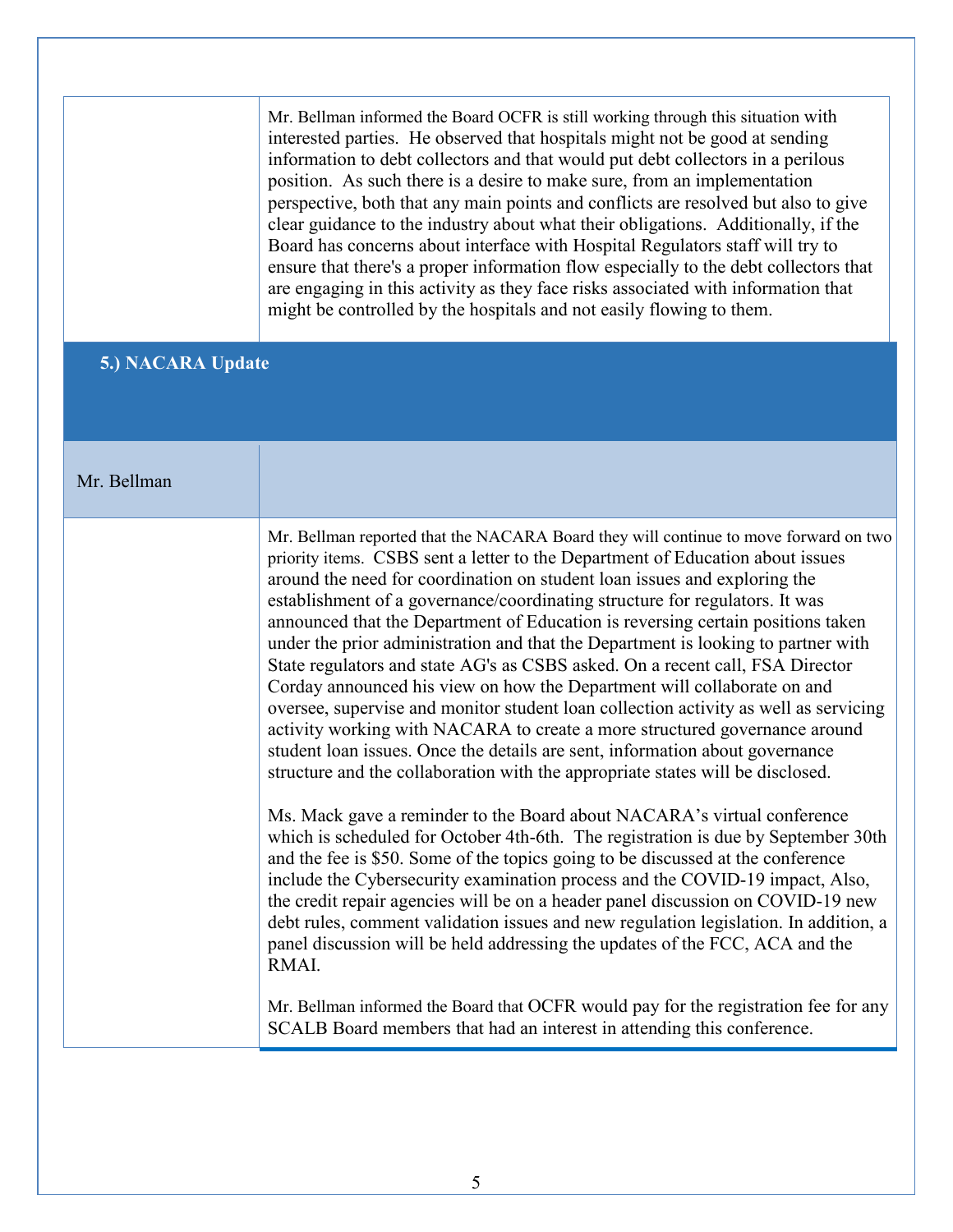Mr. Bellman informed the Board OCFR is still working through this situation with interested parties. He observed that hospitals might not be good at sending information to debt collectors and that would put debt collectors in a perilous position. As such there is a desire to make sure, from an implementation perspective, both that any main points and conflicts are resolved but also to give clear guidance to the industry about what their obligations. Additionally, if the Board has concerns about interface with Hospital Regulators staff will try to ensure that there's a proper information flow especially to the debt collectors that are engaging in this activity as they face risks associated with information that might be controlled by the hospitals and not easily flowing to them.

## **5.) NACARA Update**

## Mr. Bellman

Mr. Bellman reported that the NACARA Board they will continue to move forward on two priority items. CSBS sent a letter to the Department of Education about issues around the need for coordination on student loan issues and exploring the establishment of a governance/coordinating structure for regulators. It was announced that the Department of Education is reversing certain positions taken under the prior administration and that the Department is looking to partner with State regulators and state AG's as CSBS asked. On a recent call, FSA Director Corday announced his view on how the Department will collaborate on and oversee, supervise and monitor student loan collection activity as well as servicing activity working with NACARA to create a more structured governance around student loan issues. Once the details are sent, information about governance structure and the collaboration with the appropriate states will be disclosed.

Ms. Mack gave a reminder to the Board about NACARA's virtual conference which is scheduled for October 4th-6th. The registration is due by September 30th and the fee is \$50. Some of the topics going to be discussed at the conference include the Cybersecurity examination process and the COVID-19 impact, Also, the credit repair agencies will be on a header panel discussion on COVID-19 new debt rules, comment validation issues and new regulation legislation. In addition, a panel discussion will be held addressing the updates of the FCC, ACA and the RMAI.

Mr. Bellman informed the Board that OCFR would pay for the registration fee for any SCALB Board members that had an interest in attending this conference.